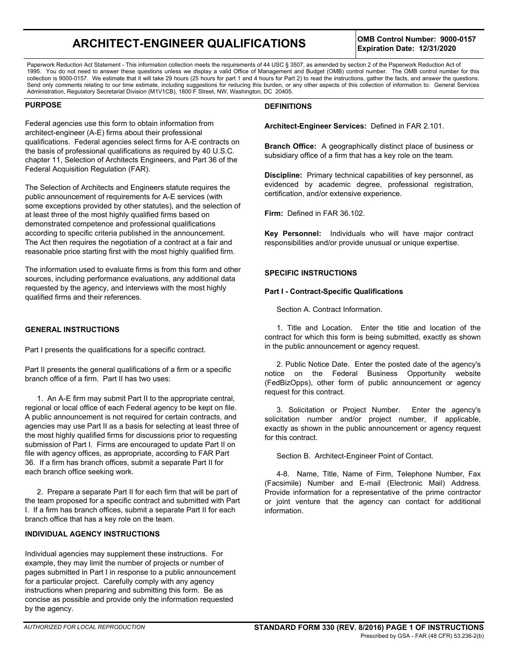# **ARCHITECT-ENGINEER QUALIFICATIONS OMB Control Number: 9000-0157**

**Expiration Date: 12/31/2020**

Paperwork Reduction Act Statement - This information collection meets the requirements of 44 USC § 3507, as amended by section 2 of the Paperwork Reduction Act of 1995. You do not need to answer these questions unless we display a valid Office of Management and Budget (OMB) control number. The OMB control number for this collection is 9000-0157. We estimate that it will take 29 hours (25 hours for part 1 and 4 hours for Part 2) to read the instructions, gather the facts, and answer the questions. Send only comments relating to our time estimate, including suggestions for reducing this burden, or any other aspects of this collection of information to: General Services Administration, Regulatory Secretariat Division (M1V1CB), 1800 F Street, NW, Washington, DC 20405.

#### **PURPOSE**

Federal agencies use this form to obtain information from architect-engineer (A-E) firms about their professional qualifications. Federal agencies select firms for A-E contracts on the basis of professional qualifications as required by 40 U.S.C. chapter 11, Selection of Architects Engineers, and Part 36 of the Federal Acquisition Regulation (FAR).

The Selection of Architects and Engineers statute requires the public announcement of requirements for A-E services (with some exceptions provided by other statutes), and the selection of at least three of the most highly qualified firms based on demonstrated competence and professional qualifications according to specific criteria published in the announcement. The Act then requires the negotiation of a contract at a fair and reasonable price starting first with the most highly qualified firm.

The information used to evaluate firms is from this form and other sources, including performance evaluations, any additional data requested by the agency, and interviews with the most highly qualified firms and their references.

### **GENERAL INSTRUCTIONS**

Part I presents the qualifications for a specific contract.

Part II presents the general qualifications of a firm or a specific branch office of a firm. Part II has two uses:

1. An A-E firm may submit Part II to the appropriate central, regional or local office of each Federal agency to be kept on file. A public announcement is not required for certain contracts, and agencies may use Part II as a basis for selecting at least three of the most highly qualified firms for discussions prior to requesting submission of Part I. Firms are encouraged to update Part II on file with agency offices, as appropriate, according to FAR Part 36. If a firm has branch offices, submit a separate Part II for each branch office seeking work.

2. Prepare a separate Part II for each firm that will be part of the team proposed for a specific contract and submitted with Part I. If a firm has branch offices, submit a separate Part II for each branch office that has a key role on the team.

### **INDIVIDUAL AGENCY INSTRUCTIONS**

Individual agencies may supplement these instructions. For example, they may limit the number of projects or number of pages submitted in Part I in response to a public announcement for a particular project. Carefully comply with any agency instructions when preparing and submitting this form. Be as concise as possible and provide only the information requested by the agency.

#### **DEFINITIONS**

**Architect-Engineer Services:** Defined in FAR 2.101.

**Branch Office:** A geographically distinct place of business or subsidiary office of a firm that has a key role on the team.

**Discipline:** Primary technical capabilities of key personnel, as evidenced by academic degree, professional registration, certification, and/or extensive experience.

**Firm:** Defined in FAR 36.102.

**Key Personnel:** Individuals who will have major contract responsibilities and/or provide unusual or unique expertise.

#### **SPECIFIC INSTRUCTIONS**

#### **Part I - Contract-Specific Qualifications**

Section A. Contract Information.

1. Title and Location. Enter the title and location of the contract for which this form is being submitted, exactly as shown in the public announcement or agency request.

2. Public Notice Date. Enter the posted date of the agency's notice on the Federal Business Opportunity website (FedBizOpps), other form of public announcement or agency request for this contract.

3. Solicitation or Project Number. Enter the agency's solicitation number and/or project number, if applicable, exactly as shown in the public announcement or agency request for this contract.

Section B. Architect-Engineer Point of Contact.

4-8. Name, Title, Name of Firm, Telephone Number, Fax (Facsimile) Number and E-mail (Electronic Mail) Address. Provide information for a representative of the prime contractor or joint venture that the agency can contact for additional information.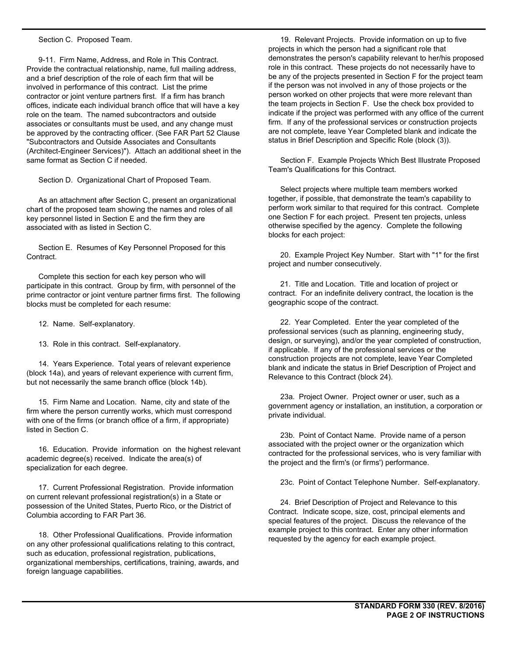#### Section C. Proposed Team.

9-11. Firm Name, Address, and Role in This Contract. Provide the contractual relationship, name, full mailing address, and a brief description of the role of each firm that will be involved in performance of this contract. List the prime contractor or joint venture partners first. If a firm has branch offices, indicate each individual branch office that will have a key role on the team. The named subcontractors and outside associates or consultants must be used, and any change must be approved by the contracting officer. (See FAR Part 52 Clause "Subcontractors and Outside Associates and Consultants (Architect-Engineer Services)"). Attach an additional sheet in the same format as Section C if needed.

Section D. Organizational Chart of Proposed Team.

As an attachment after Section C, present an organizational chart of the proposed team showing the names and roles of all key personnel listed in Section E and the firm they are associated with as listed in Section C.

Section E. Resumes of Key Personnel Proposed for this Contract.

Complete this section for each key person who will participate in this contract. Group by firm, with personnel of the prime contractor or joint venture partner firms first. The following blocks must be completed for each resume:

12. Name. Self-explanatory.

13. Role in this contract. Self-explanatory.

14. Years Experience. Total years of relevant experience (block 14a), and years of relevant experience with current firm, but not necessarily the same branch office (block 14b).

15. Firm Name and Location. Name, city and state of the firm where the person currently works, which must correspond with one of the firms (or branch office of a firm, if appropriate) listed in Section C.

16. Education. Provide information on the highest relevant academic degree(s) received. Indicate the area(s) of specialization for each degree.

17. Current Professional Registration. Provide information on current relevant professional registration(s) in a State or possession of the United States, Puerto Rico, or the District of Columbia according to FAR Part 36.

18. Other Professional Qualifications. Provide information on any other professional qualifications relating to this contract, such as education, professional registration, publications, organizational memberships, certifications, training, awards, and foreign language capabilities.

19. Relevant Projects. Provide information on up to five projects in which the person had a significant role that demonstrates the person's capability relevant to her/his proposed role in this contract. These projects do not necessarily have to be any of the projects presented in Section F for the project team if the person was not involved in any of those projects or the person worked on other projects that were more relevant than the team projects in Section F. Use the check box provided to indicate if the project was performed with any office of the current firm. If any of the professional services or construction projects are not complete, leave Year Completed blank and indicate the status in Brief Description and Specific Role (block (3)).

Section F. Example Projects Which Best Illustrate Proposed Team's Qualifications for this Contract.

Select projects where multiple team members worked together, if possible, that demonstrate the team's capability to perform work similar to that required for this contract. Complete one Section F for each project. Present ten projects, unless otherwise specified by the agency. Complete the following blocks for each project:

20. Example Project Key Number. Start with "1" for the first project and number consecutively.

21. Title and Location. Title and location of project or contract. For an indefinite delivery contract, the location is the geographic scope of the contract.

22. Year Completed. Enter the year completed of the professional services (such as planning, engineering study, design, or surveying), and/or the year completed of construction, if applicable. If any of the professional services or the construction projects are not complete, leave Year Completed blank and indicate the status in Brief Description of Project and Relevance to this Contract (block 24).

23a. Project Owner. Project owner or user, such as a government agency or installation, an institution, a corporation or private individual.

23b. Point of Contact Name. Provide name of a person associated with the project owner or the organization which contracted for the professional services, who is very familiar with the project and the firm's (or firms') performance.

23c. Point of Contact Telephone Number. Self-explanatory.

24. Brief Description of Project and Relevance to this Contract. Indicate scope, size, cost, principal elements and special features of the project. Discuss the relevance of the example project to this contract. Enter any other information requested by the agency for each example project.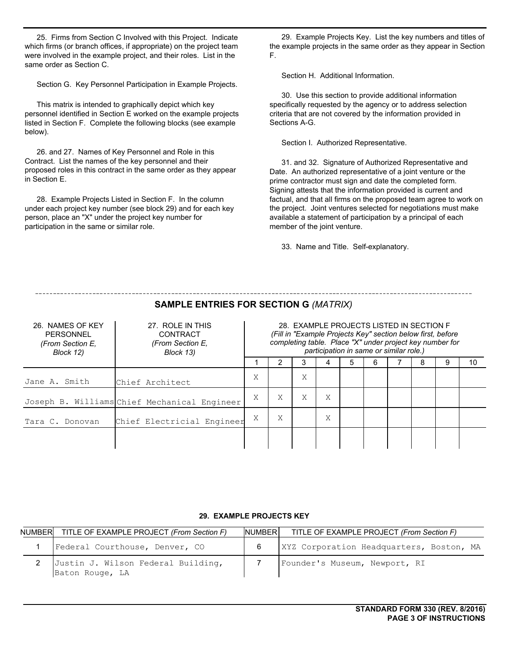25. Firms from Section C Involved with this Project. Indicate which firms (or branch offices, if appropriate) on the project team were involved in the example project, and their roles. List in the same order as Section C.

Section G. Key Personnel Participation in Example Projects.

This matrix is intended to graphically depict which key personnel identified in Section E worked on the example projects listed in Section F. Complete the following blocks (see example below).

26. and 27. Names of Key Personnel and Role in this Contract. List the names of the key personnel and their proposed roles in this contract in the same order as they appear in Section E.

28. Example Projects Listed in Section F. In the column under each project key number (see block 29) and for each key person, place an "X" under the project key number for participation in the same or similar role.

29. Example Projects Key. List the key numbers and titles of the example projects in the same order as they appear in Section F.

Section H. Additional Information.

30. Use this section to provide additional information specifically requested by the agency or to address selection criteria that are not covered by the information provided in Sections A-G.

Section I. Authorized Representative.

31. and 32. Signature of Authorized Representative and Date. An authorized representative of a joint venture or the prime contractor must sign and date the completed form. Signing attests that the information provided is current and factual, and that all firms on the proposed team agree to work on the project. Joint ventures selected for negotiations must make available a statement of participation by a principal of each member of the joint venture.

33. Name and Title. Self-explanatory.

| 26. NAMES OF KEY<br>PERSONNEL<br>(From Section E,<br>Block 12) | 27. ROLE IN THIS<br><b>CONTRACT</b><br>(From Section E.<br>Block 13) | 28. EXAMPLE PROJECTS LISTED IN SECTION F<br>(Fill in "Example Projects Key" section below first, before<br>completing table. Place "X" under project key number for<br>participation in same or similar role.) |   |   |   |   |   |   |    |
|----------------------------------------------------------------|----------------------------------------------------------------------|----------------------------------------------------------------------------------------------------------------------------------------------------------------------------------------------------------------|---|---|---|---|---|---|----|
|                                                                |                                                                      |                                                                                                                                                                                                                |   |   |   | 6 | 8 | 9 | 10 |
| Jane A. Smith                                                  | Chief Architect                                                      | Χ                                                                                                                                                                                                              |   | Χ |   |   |   |   |    |
|                                                                | Joseph B. Williams Chief Mechanical Engineer                         | Χ                                                                                                                                                                                                              | Χ | Χ | Χ |   |   |   |    |
| Tara C. Donovan                                                | Chief Electricial Engineer                                           | Χ                                                                                                                                                                                                              | X |   | X |   |   |   |    |
|                                                                |                                                                      |                                                                                                                                                                                                                |   |   |   |   |   |   |    |

## **SAMPLE ENTRIES FOR SECTION G** *(MATRIX)*

## **29. EXAMPLE PROJECTS KEY**

| <b>NUMBER</b> | TITLE OF EXAMPLE PROJECT (From Section F)               | <b>NUMBERI</b> | TITLE OF EXAMPLE PROJECT (From Section F) |
|---------------|---------------------------------------------------------|----------------|-------------------------------------------|
|               | Federal Courthouse, Denver, CO                          |                | XYZ Corporation Headquarters, Boston, MA  |
|               | 2 Justin J. Wilson Federal Building,<br>Baton Rouge, LA |                | Founder's Museum, Newport, RI             |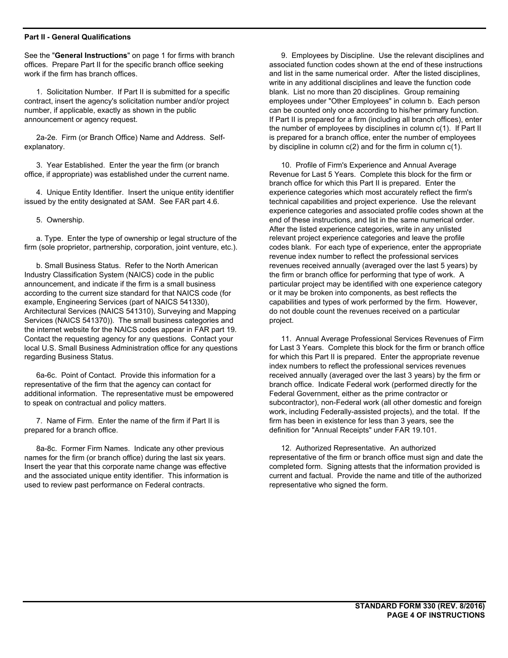#### **Part II - General Qualifications**

See the "**General Instructions**" on page 1 for firms with branch offices. Prepare Part II for the specific branch office seeking work if the firm has branch offices.

1. Solicitation Number. If Part II is submitted for a specific contract, insert the agency's solicitation number and/or project number, if applicable, exactly as shown in the public announcement or agency request.

2a-2e. Firm (or Branch Office) Name and Address. Selfexplanatory.

3. Year Established. Enter the year the firm (or branch office, if appropriate) was established under the current name.

4. Unique Entity Identifier. Insert the unique entity identifier issued by the entity designated at SAM. See FAR part 4.6.

5. Ownership.

a. Type. Enter the type of ownership or legal structure of the firm (sole proprietor, partnership, corporation, joint venture, etc.).

b. Small Business Status. Refer to the North American Industry Classification System (NAICS) code in the public announcement, and indicate if the firm is a small business according to the current size standard for that NAICS code (for example, Engineering Services (part of NAICS 541330), Architectural Services (NAICS 541310), Surveying and Mapping Services (NAICS 541370)). The small business categories and the internet website for the NAICS codes appear in FAR part 19. Contact the requesting agency for any questions. Contact your local U.S. Small Business Administration office for any questions regarding Business Status.

6a-6c. Point of Contact. Provide this information for a representative of the firm that the agency can contact for additional information. The representative must be empowered to speak on contractual and policy matters.

7. Name of Firm. Enter the name of the firm if Part II is prepared for a branch office.

8a-8c. Former Firm Names. Indicate any other previous names for the firm (or branch office) during the last six years. Insert the year that this corporate name change was effective and the associated unique entity identifier. This information is used to review past performance on Federal contracts.

9. Employees by Discipline. Use the relevant disciplines and associated function codes shown at the end of these instructions and list in the same numerical order. After the listed disciplines, write in any additional disciplines and leave the function code blank. List no more than 20 disciplines. Group remaining employees under "Other Employees" in column b. Each person can be counted only once according to his/her primary function. If Part II is prepared for a firm (including all branch offices), enter the number of employees by disciplines in column c(1). If Part II is prepared for a branch office, enter the number of employees by discipline in column c(2) and for the firm in column c(1).

10. Profile of Firm's Experience and Annual Average Revenue for Last 5 Years. Complete this block for the firm or branch office for which this Part II is prepared. Enter the experience categories which most accurately reflect the firm's technical capabilities and project experience. Use the relevant experience categories and associated profile codes shown at the end of these instructions, and list in the same numerical order. After the listed experience categories, write in any unlisted relevant project experience categories and leave the profile codes blank. For each type of experience, enter the appropriate revenue index number to reflect the professional services revenues received annually (averaged over the last 5 years) by the firm or branch office for performing that type of work. A particular project may be identified with one experience category or it may be broken into components, as best reflects the capabilities and types of work performed by the firm. However, do not double count the revenues received on a particular project.

11. Annual Average Professional Services Revenues of Firm for Last 3 Years. Complete this block for the firm or branch office for which this Part II is prepared. Enter the appropriate revenue index numbers to reflect the professional services revenues received annually (averaged over the last 3 years) by the firm or branch office. Indicate Federal work (performed directly for the Federal Government, either as the prime contractor or subcontractor), non-Federal work (all other domestic and foreign work, including Federally-assisted projects), and the total. If the firm has been in existence for less than 3 years, see the definition for "Annual Receipts" under FAR 19.101.

12. Authorized Representative. An authorized representative of the firm or branch office must sign and date the completed form. Signing attests that the information provided is current and factual. Provide the name and title of the authorized representative who signed the form.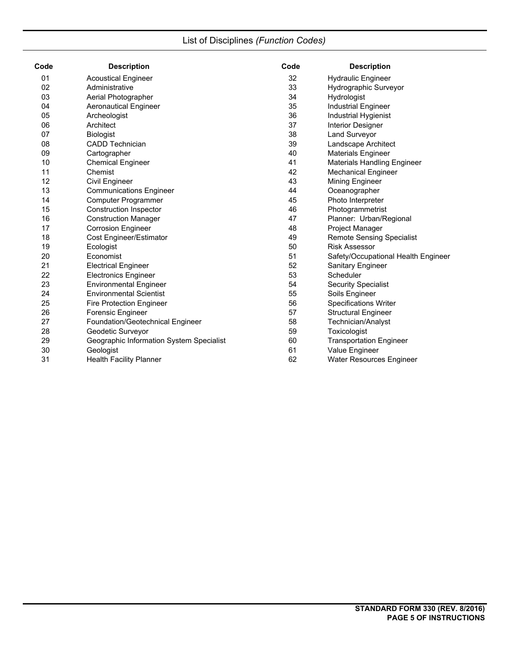## List of Disciplines *(Function Codes)*

| Code | <b>Description</b>                       | Code | <b>Description</b>                  |
|------|------------------------------------------|------|-------------------------------------|
| 01   | <b>Acoustical Engineer</b>               | 32   | <b>Hydraulic Engineer</b>           |
| 02   | Administrative                           | 33   | Hydrographic Surveyor               |
| 03   | Aerial Photographer                      | 34   | Hydrologist                         |
| 04   | <b>Aeronautical Engineer</b>             | 35   | <b>Industrial Engineer</b>          |
| 05   | Archeologist                             | 36   | Industrial Hygienist                |
| 06   | Architect                                | 37   | <b>Interior Designer</b>            |
| 07   | <b>Biologist</b>                         | 38   | <b>Land Surveyor</b>                |
| 08   | <b>CADD Technician</b>                   | 39   | Landscape Architect                 |
| 09   | Cartographer                             | 40   | <b>Materials Engineer</b>           |
| 10   | <b>Chemical Engineer</b>                 | 41   | <b>Materials Handling Engineer</b>  |
| 11   | Chemist                                  | 42   | <b>Mechanical Engineer</b>          |
| 12   | Civil Engineer                           | 43   | Mining Engineer                     |
| 13   | <b>Communications Engineer</b>           | 44   | Oceanographer                       |
| 14   | Computer Programmer                      | 45   | Photo Interpreter                   |
| 15   | <b>Construction Inspector</b>            | 46   | Photogrammetrist                    |
| 16   | <b>Construction Manager</b>              | 47   | Planner: Urban/Regional             |
| 17   | <b>Corrosion Engineer</b>                | 48   | Project Manager                     |
| 18   | Cost Engineer/Estimator                  | 49   | <b>Remote Sensing Specialist</b>    |
| 19   | Ecologist                                | 50   | <b>Risk Assessor</b>                |
| 20   | Economist                                | 51   | Safety/Occupational Health Engineer |
| 21   | <b>Electrical Engineer</b>               | 52   | <b>Sanitary Engineer</b>            |
| 22   | <b>Electronics Engineer</b>              | 53   | Scheduler                           |
| 23   | <b>Environmental Engineer</b>            | 54   | <b>Security Specialist</b>          |
| 24   | <b>Environmental Scientist</b>           | 55   | Soils Engineer                      |
| 25   | Fire Protection Engineer                 | 56   | <b>Specifications Writer</b>        |
| 26   | <b>Forensic Engineer</b>                 | 57   | <b>Structural Engineer</b>          |
| 27   | Foundation/Geotechnical Engineer         | 58   | Technician/Analyst                  |
| 28   | Geodetic Surveyor                        | 59   | Toxicologist                        |
| 29   | Geographic Information System Specialist | 60   | <b>Transportation Engineer</b>      |
| 30   | Geologist                                | 61   | Value Engineer                      |
| 31   | <b>Health Facility Planner</b>           | 62   | Water Resources Engineer            |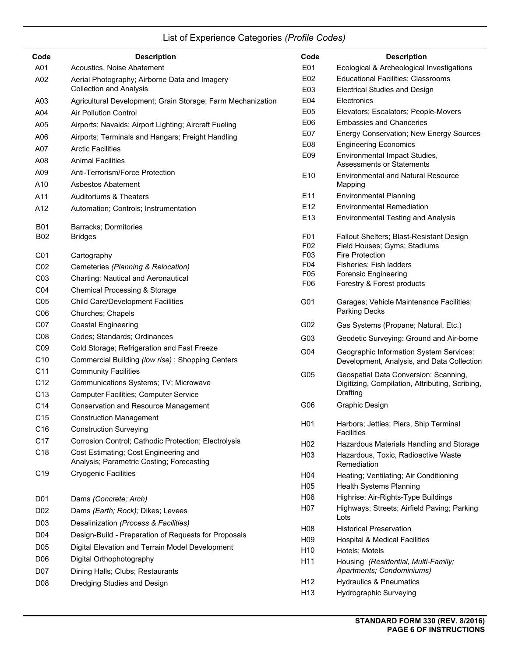## List of Experience Categories *(Profile Codes)*

| Code             | <b>Description</b>                                          | Code                   | <b>Description</b>                                                       |
|------------------|-------------------------------------------------------------|------------------------|--------------------------------------------------------------------------|
| A01              | Acoustics, Noise Abatement                                  | E01                    | Ecological & Archeological Investigations                                |
| A02              | Aerial Photography; Airborne Data and Imagery               | E02                    | <b>Educational Facilities; Classrooms</b>                                |
|                  | <b>Collection and Analysis</b>                              | E03                    | <b>Electrical Studies and Design</b>                                     |
| A03              | Agricultural Development; Grain Storage; Farm Mechanization | E04                    | Electronics                                                              |
| A04              | <b>Air Pollution Control</b>                                | E05                    | Elevators; Escalators; People-Movers                                     |
| A05              | Airports; Navaids; Airport Lighting; Aircraft Fueling       | E06                    | <b>Embassies and Chanceries</b>                                          |
| A06              | Airports; Terminals and Hangars; Freight Handling           | E07                    | Energy Conservation; New Energy Sources                                  |
| A07              | <b>Arctic Facilities</b>                                    | E08                    | <b>Engineering Economics</b>                                             |
| A08              | <b>Animal Facilities</b>                                    | E09                    | Environmental Impact Studies,<br>Assessments or Statements               |
| A09              | Anti-Terrorism/Force Protection                             | E10                    | <b>Environmental and Natural Resource</b>                                |
| A10              | Asbestos Abatement                                          |                        | Mapping                                                                  |
| A11              | <b>Auditoriums &amp; Theaters</b>                           | E11                    | <b>Environmental Planning</b>                                            |
| A12              | Automation; Controls; Instrumentation                       | E <sub>12</sub>        | <b>Environmental Remediation</b>                                         |
|                  |                                                             | E <sub>13</sub>        | <b>Environmental Testing and Analysis</b>                                |
| B01              | Barracks; Dormitories                                       |                        |                                                                          |
| <b>B02</b>       | <b>Bridges</b>                                              | F01<br>F <sub>02</sub> | Fallout Shelters; Blast-Resistant Design<br>Field Houses; Gyms; Stadiums |
| C <sub>01</sub>  | Cartography                                                 | F03                    | <b>Fire Protection</b>                                                   |
| CO <sub>2</sub>  | Cemeteries (Planning & Relocation)                          | F04                    | Fisheries; Fish ladders                                                  |
| CO <sub>3</sub>  | <b>Charting: Nautical and Aeronautical</b>                  | F <sub>05</sub>        | <b>Forensic Engineering</b>                                              |
| CO <sub>4</sub>  | Chemical Processing & Storage                               | F06                    | Forestry & Forest products                                               |
| C <sub>05</sub>  | <b>Child Care/Development Facilities</b>                    | G01                    | Garages; Vehicle Maintenance Facilities;                                 |
| C <sub>06</sub>  | Churches; Chapels                                           |                        | <b>Parking Decks</b>                                                     |
| C07              | <b>Coastal Engineering</b>                                  | G02                    | Gas Systems (Propane; Natural, Etc.)                                     |
| C <sub>08</sub>  | Codes; Standards; Ordinances                                | G03                    | Geodetic Surveying: Ground and Air-borne                                 |
| CO9              | Cold Storage; Refrigeration and Fast Freeze                 | G04                    | Geographic Information System Services:                                  |
| C <sub>10</sub>  | Commercial Building (low rise); Shopping Centers            |                        | Development, Analysis, and Data Collection                               |
| C <sub>11</sub>  | <b>Community Facilities</b>                                 | G05                    | Geospatial Data Conversion: Scanning,                                    |
| C <sub>12</sub>  | Communications Systems; TV; Microwave                       |                        | Digitizing, Compilation, Attributing, Scribing,                          |
| C <sub>13</sub>  | <b>Computer Facilities; Computer Service</b>                |                        | Drafting                                                                 |
| C <sub>14</sub>  | Conservation and Resource Management                        | G06                    | Graphic Design                                                           |
| C <sub>15</sub>  | <b>Construction Management</b>                              |                        |                                                                          |
| C <sub>16</sub>  | <b>Construction Surveying</b>                               | H <sub>01</sub>        | Harbors; Jetties; Piers, Ship Terminal<br><b>Facilities</b>              |
| C <sub>17</sub>  | Corrosion Control; Cathodic Protection; Electrolysis        | H <sub>02</sub>        | Hazardous Materials Handling and Storage                                 |
| C18              | Cost Estimating; Cost Engineering and                       | H <sub>03</sub>        | Hazardous, Toxic, Radioactive Waste                                      |
|                  | Analysis; Parametric Costing; Forecasting                   |                        | Remediation                                                              |
| C <sub>19</sub>  | <b>Cryogenic Facilities</b>                                 | H04                    | Heating; Ventilating; Air Conditioning                                   |
|                  |                                                             | H <sub>05</sub>        | Health Systems Planning                                                  |
| D <sub>01</sub>  | Dams (Concrete; Arch)                                       | H <sub>06</sub>        | Highrise; Air-Rights-Type Buildings                                      |
| D <sub>02</sub>  | Dams (Earth; Rock); Dikes; Levees                           | H <sub>0</sub> 7       | Highways; Streets; Airfield Paving; Parking                              |
| D <sub>0</sub> 3 | Desalinization (Process & Facilities)                       | H <sub>0</sub> 8       | Lots<br><b>Historical Preservation</b>                                   |
| D04              | Design-Build - Preparation of Requests for Proposals        | H <sub>0</sub> 9       | <b>Hospital &amp; Medical Facilities</b>                                 |
| D <sub>05</sub>  | Digital Elevation and Terrain Model Development             | H <sub>10</sub>        | Hotels; Motels                                                           |
| D <sub>06</sub>  | Digital Orthophotography                                    | H11                    | Housing (Residential, Multi-Family;                                      |
| D07              | Dining Halls; Clubs; Restaurants                            |                        | Apartments; Condominiums)                                                |
| D <sub>08</sub>  | Dredging Studies and Design                                 | H <sub>12</sub>        | <b>Hydraulics &amp; Pneumatics</b>                                       |
|                  |                                                             | H <sub>13</sub>        | Hydrographic Surveying                                                   |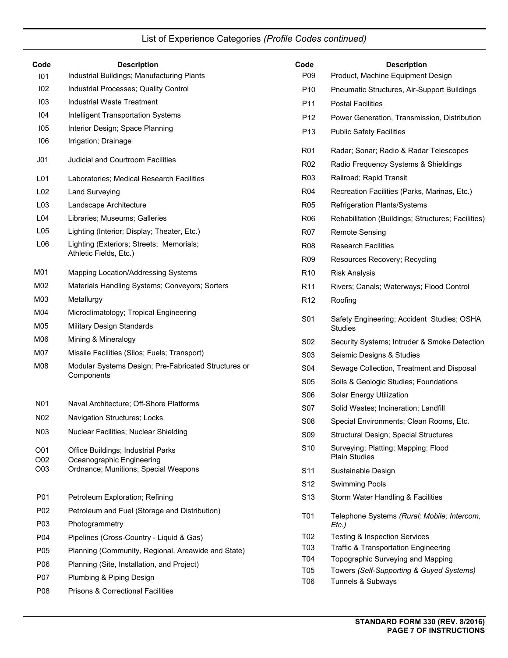## List of Experience Categories *(Profile Codes continued)*

| Code             | <b>Description</b>                                                | Code             | <b>Description</b>                                           |
|------------------|-------------------------------------------------------------------|------------------|--------------------------------------------------------------|
| 101              | Industrial Buildings; Manufacturing Plants                        | P <sub>09</sub>  | Product, Machine Equipment Design                            |
| 102              | Industrial Processes; Quality Control                             | P <sub>10</sub>  | Pneumatic Structures, Air-Support Buildings                  |
| 103              | Industrial Waste Treatment                                        | P11              | <b>Postal Facilities</b>                                     |
| 104              | Intelligent Transportation Systems                                | P <sub>12</sub>  | Power Generation, Transmission, Distribution                 |
| 105              | Interior Design; Space Planning                                   | P <sub>13</sub>  | <b>Public Safety Facilities</b>                              |
| 106              | Irrigation; Drainage                                              |                  |                                                              |
| J <sub>01</sub>  | <b>Judicial and Courtroom Facilities</b>                          | R <sub>01</sub>  | Radar; Sonar; Radio & Radar Telescopes                       |
|                  |                                                                   | R <sub>02</sub>  | Radio Frequency Systems & Shieldings                         |
| L01              | Laboratories; Medical Research Facilities                         | R <sub>0</sub> 3 | Railroad; Rapid Transit                                      |
| L02              | <b>Land Surveying</b>                                             | R <sub>04</sub>  | Recreation Facilities (Parks, Marinas, Etc.)                 |
| L <sub>03</sub>  | Landscape Architecture                                            | R <sub>05</sub>  | Refrigeration Plants/Systems                                 |
| L <sub>04</sub>  | Libraries; Museums; Galleries                                     | R <sub>06</sub>  | Rehabilitation (Buildings; Structures; Facilities)           |
| L05              | Lighting (Interior; Display; Theater, Etc.)                       | R07              | <b>Remote Sensing</b>                                        |
| L <sub>06</sub>  | Lighting (Exteriors; Streets; Memorials;                          | R <sub>08</sub>  | <b>Research Facilities</b>                                   |
|                  | Athletic Fields, Etc.)                                            | R <sub>09</sub>  | Resources Recovery; Recycling                                |
| M01              | Mapping Location/Addressing Systems                               | R <sub>10</sub>  | <b>Risk Analysis</b>                                         |
| M02              | Materials Handling Systems; Conveyors; Sorters                    | R <sub>11</sub>  | Rivers; Canals; Waterways; Flood Control                     |
| M03              | Metallurgy                                                        | R <sub>12</sub>  | Roofing                                                      |
| M04              | Microclimatology; Tropical Engineering                            |                  |                                                              |
| M05              | Military Design Standards                                         | S01              | Safety Engineering; Accident Studies; OSHA<br><b>Studies</b> |
| M06              | Mining & Mineralogy                                               | S02              | Security Systems; Intruder & Smoke Detection                 |
| M07              | Missile Facilities (Silos; Fuels; Transport)                      | S03              | Seismic Designs & Studies                                    |
| M08              | Modular Systems Design; Pre-Fabricated Structures or              | S04              | Sewage Collection, Treatment and Disposal                    |
|                  | Components                                                        | S05              | Soils & Geologic Studies; Foundations                        |
|                  |                                                                   | S <sub>06</sub>  | Solar Energy Utilization                                     |
| N01              | Naval Architecture; Off-Shore Platforms                           | S07              | Solid Wastes; Incineration; Landfill                         |
| N <sub>0</sub> 2 | Navigation Structures; Locks                                      | S08              | Special Environments; Clean Rooms, Etc.                      |
| N03              | Nuclear Facilities; Nuclear Shielding                             | S09              | Structural Design; Special Structures                        |
| O01              | Office Buildings; Industrial Parks                                | S <sub>10</sub>  | Surveying; Platting; Mapping; Flood<br><b>Plain Studies</b>  |
| O02<br>O03       | Oceanographic Engineering<br>Ordnance; Munitions; Special Weapons | S11              | Sustainable Design                                           |
|                  |                                                                   | S <sub>12</sub>  | <b>Swimming Pools</b>                                        |
| P01              | Petroleum Exploration; Refining                                   | S <sub>13</sub>  | Storm Water Handling & Facilities                            |
| P02              | Petroleum and Fuel (Storage and Distribution)                     |                  |                                                              |
| P03              | Photogrammetry                                                    | T01              | Telephone Systems (Rural; Mobile; Intercom,                  |
| P04              | Pipelines (Cross-Country - Liquid & Gas)                          | T02              | $Etc.$ )<br><b>Testing &amp; Inspection Services</b>         |
| P05              |                                                                   | T03              | <b>Traffic &amp; Transportation Engineering</b>              |
|                  | Planning (Community, Regional, Areawide and State)                | T04              | Topographic Surveying and Mapping                            |
| P06              | Planning (Site, Installation, and Project)                        | T05              | Towers (Self-Supporting & Guyed Systems)                     |
| P07              | Plumbing & Piping Design                                          | T06              | Tunnels & Subways                                            |
| P08              | <b>Prisons &amp; Correctional Facilities</b>                      |                  |                                                              |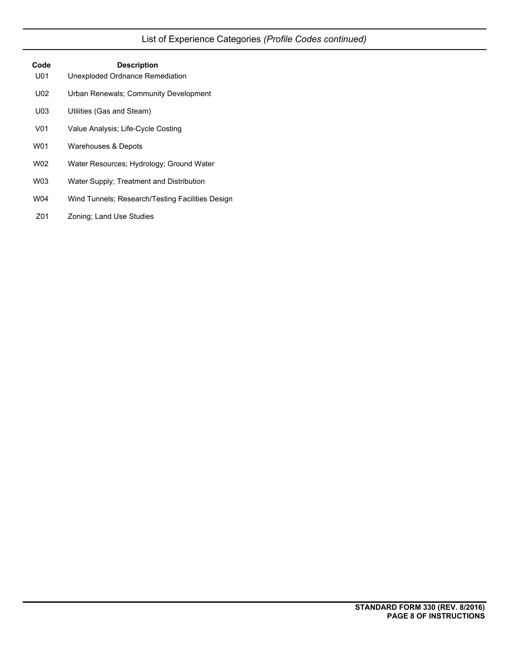## List of Experience Categories *(Profile Codes continued)*

| Code<br>U01     | <b>Description</b><br>Unexploded Ordnance Remediation |
|-----------------|-------------------------------------------------------|
| U02             | Urban Renewals: Community Development                 |
| U03             | Utilities (Gas and Steam)                             |
| V <sub>01</sub> | Value Analysis: Life-Cycle Costing                    |
| W01             | Warehouses & Depots                                   |
| W02             | Water Resources: Hydrology: Ground Water              |
| W03             | Water Supply: Treatment and Distribution              |
| W04             | Wind Tunnels; Research/Testing Facilities Design      |
| Z01             | Zoning; Land Use Studies                              |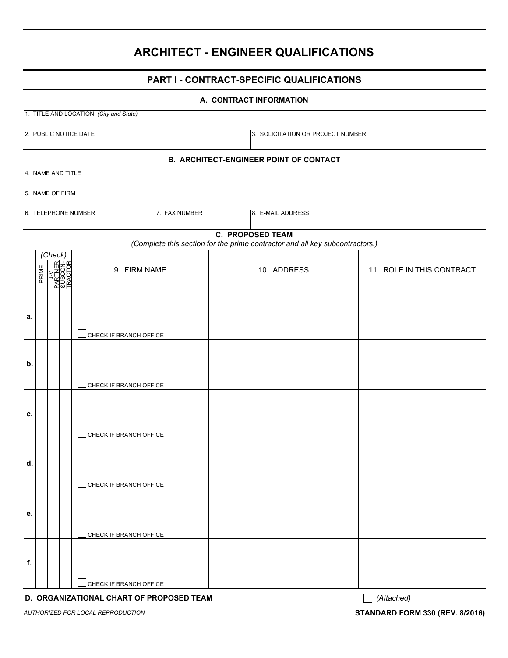# **ARCHITECT - ENGINEER QUALIFICATIONS**

## **PART I - CONTRACT-SPECIFIC QUALIFICATIONS**

### **A. CONTRACT INFORMATION**

|    | 1. TITLE AND LOCATION (City and State) |                    |  |                                                                    |               |  |                                                                              |                           |
|----|----------------------------------------|--------------------|--|--------------------------------------------------------------------|---------------|--|------------------------------------------------------------------------------|---------------------------|
|    |                                        |                    |  | 2. PUBLIC NOTICE DATE                                              |               |  | 3. SOLICITATION OR PROJECT NUMBER                                            |                           |
|    |                                        |                    |  |                                                                    |               |  | <b>B. ARCHITECT-ENGINEER POINT OF CONTACT</b>                                |                           |
|    |                                        | 4. NAME AND TITLE  |  |                                                                    |               |  |                                                                              |                           |
|    |                                        | 5. NAME OF FIRM    |  |                                                                    |               |  |                                                                              |                           |
|    |                                        |                    |  | <b>6. TELEPHONE NUMBER</b>                                         | 7. FAX NUMBER |  | 8. E-MAIL ADDRESS                                                            |                           |
|    |                                        |                    |  |                                                                    |               |  | <b>C. PROPOSED TEAM</b>                                                      |                           |
|    |                                        |                    |  |                                                                    |               |  | (Complete this section for the prime contractor and all key subcontractors.) |                           |
|    | PRIME                                  | (Check)<br>PARTNER |  | 9. FIRM NAME                                                       |               |  | 10. ADDRESS                                                                  | 11. ROLE IN THIS CONTRACT |
| а. |                                        |                    |  | CHECK IF BRANCH OFFICE                                             |               |  |                                                                              |                           |
| b. |                                        |                    |  | CHECK IF BRANCH OFFICE                                             |               |  |                                                                              |                           |
| c. |                                        |                    |  | CHECK IF BRANCH OFFICE                                             |               |  |                                                                              |                           |
| d. |                                        |                    |  | CHECK IF BRANCH OFFICE                                             |               |  |                                                                              |                           |
| е. |                                        |                    |  | CHECK IF BRANCH OFFICE                                             |               |  |                                                                              |                           |
| f. |                                        |                    |  |                                                                    |               |  |                                                                              |                           |
|    |                                        |                    |  | CHECK IF BRANCH OFFICE<br>D. ORGANIZATIONAL CHART OF PROPOSED TEAM |               |  |                                                                              | (Attached)                |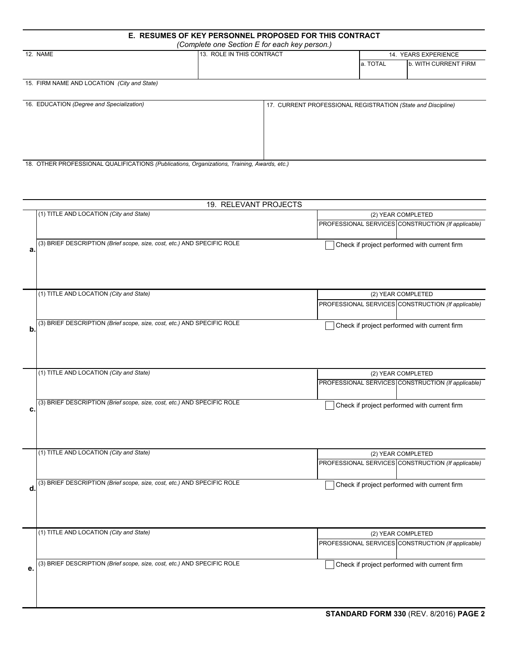| E. RESUMES OF KEY PERSONNEL PROPOSED FOR THIS CONTRACT |                           |                                                              |           |                              |
|--------------------------------------------------------|---------------------------|--------------------------------------------------------------|-----------|------------------------------|
|                                                        |                           | (Complete one Section E for each key person.)                |           |                              |
| 12. NAME                                               | 13. ROLE IN THIS CONTRACT |                                                              |           | 14. YEARS EXPERIENCE         |
|                                                        |                           |                                                              | la. TOTAL | <b>Ib. WITH CURRENT FIRM</b> |
|                                                        |                           |                                                              |           |                              |
| 15. FIRM NAME AND LOCATION (City and State)            |                           |                                                              |           |                              |
|                                                        |                           |                                                              |           |                              |
| 16. EDUCATION (Degree and Specialization)              |                           | 17. CURRENT PROFESSIONAL REGISTRATION (State and Discipline) |           |                              |

18. OTHER PROFESSIONAL QUALIFICATIONS *(Publications, Organizations, Training, Awards, etc.)*

|    | 19. RELEVANT PROJECTS                                                   |                                              |                                                    |  |
|----|-------------------------------------------------------------------------|----------------------------------------------|----------------------------------------------------|--|
|    | (1) TITLE AND LOCATION (City and State)                                 |                                              | (2) YEAR COMPLETED                                 |  |
|    |                                                                         |                                              | PROFESSIONAL SERVICES CONSTRUCTION (If applicable) |  |
| a  | (3) BRIEF DESCRIPTION (Brief scope, size, cost, etc.) AND SPECIFIC ROLE |                                              | Check if project performed with current firm       |  |
|    | (1) TITLE AND LOCATION (City and State)                                 |                                              | (2) YEAR COMPLETED                                 |  |
|    |                                                                         |                                              | PROFESSIONAL SERVICES CONSTRUCTION (If applicable) |  |
|    |                                                                         |                                              |                                                    |  |
| b  | (3) BRIEF DESCRIPTION (Brief scope, size, cost, etc.) AND SPECIFIC ROLE |                                              | Check if project performed with current firm       |  |
|    |                                                                         |                                              |                                                    |  |
|    | (1) TITLE AND LOCATION (City and State)                                 |                                              | (2) YEAR COMPLETED                                 |  |
|    |                                                                         |                                              | PROFESSIONAL SERVICES CONSTRUCTION (If applicable) |  |
| C. | (3) BRIEF DESCRIPTION (Brief scope, size, cost, etc.) AND SPECIFIC ROLE | Check if project performed with current firm |                                                    |  |
|    |                                                                         |                                              |                                                    |  |
|    | (1) TITLE AND LOCATION (City and State)                                 |                                              | (2) YEAR COMPLETED                                 |  |
|    |                                                                         |                                              | PROFESSIONAL SERVICES CONSTRUCTION (If applicable) |  |
| d  | (3) BRIEF DESCRIPTION (Brief scope, size, cost, etc.) AND SPECIFIC ROLE |                                              | Check if project performed with current firm       |  |
|    |                                                                         |                                              |                                                    |  |
|    | (1) TITLE AND LOCATION (City and State)                                 |                                              | (2) YEAR COMPLETED                                 |  |
|    |                                                                         |                                              | PROFESSIONAL SERVICES CONSTRUCTION (If applicable) |  |
| e. | (3) BRIEF DESCRIPTION (Brief scope, size, cost, etc.) AND SPECIFIC ROLE |                                              | Check if project performed with current firm       |  |
|    |                                                                         |                                              |                                                    |  |
|    |                                                                         |                                              |                                                    |  |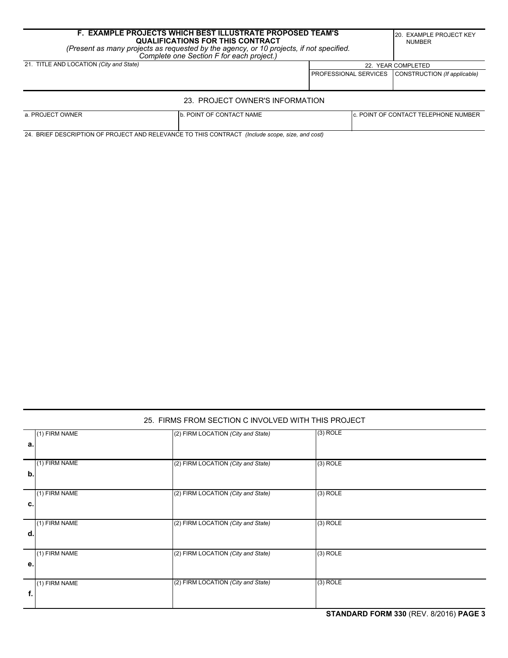| F. EXAMPLE PROJECTS WHICH BEST ILLUSTRATE PROPOSED TEAM'S<br><b>QUALIFICATIONS FOR THIS CONTRACT</b><br>(Present as many projects as requested by the agency, or 10 projects, if not specified.<br>Complete one Section F for each project.) | 120. EXAMPLE PROJECT KEY<br><b>NUMBER</b> |                                                           |
|----------------------------------------------------------------------------------------------------------------------------------------------------------------------------------------------------------------------------------------------|-------------------------------------------|-----------------------------------------------------------|
| 21. TITLE AND LOCATION (City and State)                                                                                                                                                                                                      |                                           | 22. YEAR COMPLETED                                        |
|                                                                                                                                                                                                                                              |                                           | <b>PROFESSIONAL SERVICES</b> CONSTRUCTION (If applicable) |

### 23. PROJECT OWNER'S INFORMATION

| a. PROJECT OWNER | POINT OF CONTACT NAME | POINT OF CONTACT TELEPHONE NUMBER<br>. با |
|------------------|-----------------------|-------------------------------------------|
|                  |                       |                                           |
|                  |                       |                                           |

24. BRIEF DESCRIPTION OF PROJECT AND RELEVANCE TO THIS CONTRACT *(Include scope, size, and cost)*

### 25. FIRMS FROM SECTION C INVOLVED WITH THIS PROJECT

|    | (1) FIRM NAME | (2) FIRM LOCATION (City and State) | $(3)$ ROLE |
|----|---------------|------------------------------------|------------|
| a. |               |                                    |            |
|    |               |                                    |            |
|    | (1) FIRM NAME | (2) FIRM LOCATION (City and State) | $(3)$ ROLE |
| b. |               |                                    |            |
|    | (1) FIRM NAME | (2) FIRM LOCATION (City and State) | $(3)$ ROLE |
| c. |               |                                    |            |
|    | (1) FIRM NAME | (2) FIRM LOCATION (City and State) | $(3)$ ROLE |
| d. |               |                                    |            |
|    | (1) FIRM NAME | (2) FIRM LOCATION (City and State) | $(3)$ ROLE |
| е. |               |                                    |            |
|    |               |                                    |            |
|    | (1) FIRM NAME | (2) FIRM LOCATION (City and State) | $(3)$ ROLE |
| f. |               |                                    |            |
|    |               |                                    |            |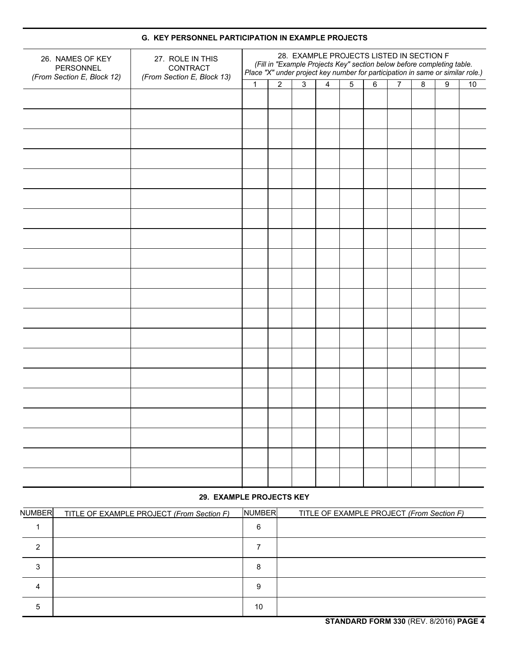| 26. NAMES OF KEY<br>PERSONNEL<br>(From Section E, Block 12) | 27. ROLE IN THIS<br>CONTRACT<br>(From Section E, Block 13) | 28. EXAMPLE PROJECTS LISTED IN SECTION F<br>(Fill in "Example Projects Key" section below before completing table.<br>Place "X" under project key number for participation in same or similar role.) |                |                |                |                 |                 |                |                |                |    |
|-------------------------------------------------------------|------------------------------------------------------------|------------------------------------------------------------------------------------------------------------------------------------------------------------------------------------------------------|----------------|----------------|----------------|-----------------|-----------------|----------------|----------------|----------------|----|
|                                                             |                                                            | $\mathbf{1}$                                                                                                                                                                                         | $\overline{2}$ | $\overline{3}$ | $\overline{4}$ | $5\overline{)}$ | $6\overline{6}$ | $\overline{7}$ | $\overline{8}$ | $\overline{9}$ | 10 |
|                                                             |                                                            |                                                                                                                                                                                                      |                |                |                |                 |                 |                |                |                |    |
|                                                             |                                                            |                                                                                                                                                                                                      |                |                |                |                 |                 |                |                |                |    |
|                                                             |                                                            |                                                                                                                                                                                                      |                |                |                |                 |                 |                |                |                |    |
|                                                             |                                                            |                                                                                                                                                                                                      |                |                |                |                 |                 |                |                |                |    |
|                                                             |                                                            |                                                                                                                                                                                                      |                |                |                |                 |                 |                |                |                |    |
|                                                             |                                                            |                                                                                                                                                                                                      |                |                |                |                 |                 |                |                |                |    |
|                                                             |                                                            |                                                                                                                                                                                                      |                |                |                |                 |                 |                |                |                |    |
|                                                             |                                                            |                                                                                                                                                                                                      |                |                |                |                 |                 |                |                |                |    |
|                                                             |                                                            |                                                                                                                                                                                                      |                |                |                |                 |                 |                |                |                |    |
|                                                             |                                                            |                                                                                                                                                                                                      |                |                |                |                 |                 |                |                |                |    |
|                                                             |                                                            |                                                                                                                                                                                                      |                |                |                |                 |                 |                |                |                |    |
|                                                             |                                                            |                                                                                                                                                                                                      |                |                |                |                 |                 |                |                |                |    |
|                                                             |                                                            |                                                                                                                                                                                                      |                |                |                |                 |                 |                |                |                |    |
|                                                             |                                                            |                                                                                                                                                                                                      |                |                |                |                 |                 |                |                |                |    |
|                                                             |                                                            |                                                                                                                                                                                                      |                |                |                |                 |                 |                |                |                |    |
|                                                             |                                                            |                                                                                                                                                                                                      |                |                |                |                 |                 |                |                |                |    |
|                                                             |                                                            |                                                                                                                                                                                                      |                |                |                |                 |                 |                |                |                |    |
|                                                             |                                                            |                                                                                                                                                                                                      |                |                |                |                 |                 |                |                |                |    |
|                                                             |                                                            |                                                                                                                                                                                                      |                |                |                |                 |                 |                |                |                |    |
|                                                             |                                                            |                                                                                                                                                                                                      |                |                |                |                 |                 |                |                |                |    |
|                                                             |                                                            |                                                                                                                                                                                                      |                |                |                |                 |                 |                |                |                |    |
|                                                             |                                                            |                                                                                                                                                                                                      |                |                |                |                 |                 |                |                |                |    |

## **G. KEY PERSONNEL PARTICIPATION IN EXAMPLE PROJECTS**

## **29. EXAMPLE PROJECTS KEY**

| NUMBER | TITLE OF EXAMPLE PROJECT (From Section F) | NUMBER | TITLE OF EXAMPLE PROJECT (From Section F) |
|--------|-------------------------------------------|--------|-------------------------------------------|
|        |                                           | 6      |                                           |
| ົ      |                                           |        |                                           |
| 3      |                                           |        |                                           |
| 4      |                                           |        |                                           |
| h      |                                           | 10     |                                           |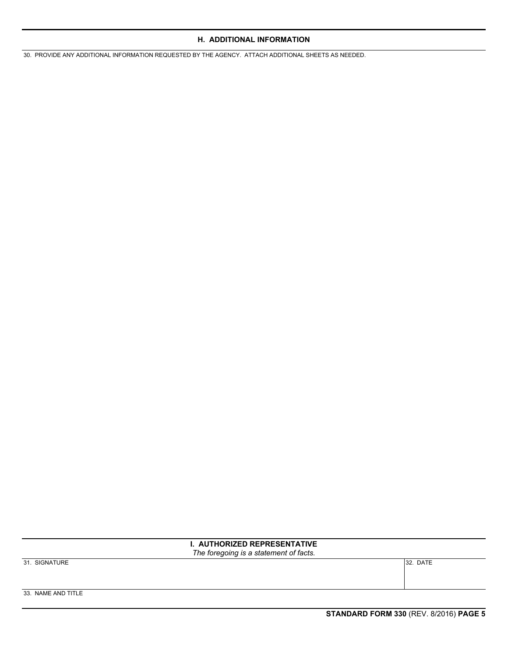### **H. ADDITIONAL INFORMATION**

30. PROVIDE ANY ADDITIONAL INFORMATION REQUESTED BY THE AGENCY. ATTACH ADDITIONAL SHEETS AS NEEDED.

## **I. AUTHORIZED REPRESENTATIVE**

*The foregoing is a statement of facts.* 31. SIGNATURE 32. DATE

33. NAME AND TITLE